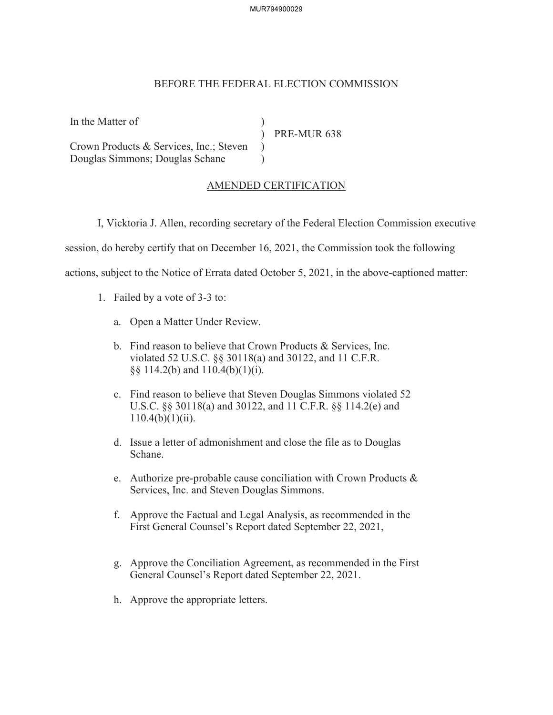MUR794900029

## BEFORE THE FEDERAL ELECTION COMMISSION

| In the Matter of                        |             |
|-----------------------------------------|-------------|
|                                         | PRE-MUR 638 |
| Crown Products & Services, Inc.; Steven |             |
| Douglas Simmons; Douglas Schane         |             |

## AMENDED CERTIFICATION

I, Vicktoria J. Allen, recording secretary of the Federal Election Commission executive

session, do hereby certify that on December 16, 2021, the Commission took the following

actions, subject to the Notice of Errata dated October 5, 2021, in the above-captioned matter:

- 1. Failed by a vote of 3-3 to:
	- a. Open a Matter Under Review.
	- b. Find reason to believe that Crown Products & Services, Inc. violated 52 U.S.C. §§ 30118(a) and 30122, and 11 C.F.R. §§ 114.2(b) and 110.4(b)(1)(i).
	- c. Find reason to believe that Steven Douglas Simmons violated 52 U.S.C. §§ 30118(a) and 30122, and 11 C.F.R. §§ 114.2(e) and  $110.4(b)(1)(ii)$ .
	- d. Issue a letter of admonishment and close the file as to Douglas Schane.
	- e. Authorize pre-probable cause conciliation with Crown Products & Services, Inc. and Steven Douglas Simmons.
	- f. Approve the Factual and Legal Analysis, as recommended in the First General Counsel's Report dated September 22, 2021,
	- g. Approve the Conciliation Agreement, as recommended in the First General Counsel's Report dated September 22, 2021.
	- h. Approve the appropriate letters.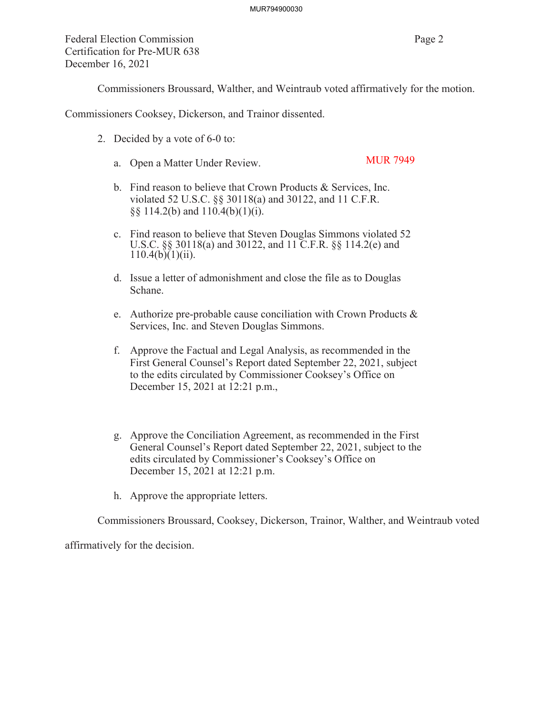Federal Election Commission Page 2 Certification for Pre-MUR 638 December 16, 2021

Commissioners Broussard, Walther, and Weintraub voted affirmatively for the motion.

Commissioners Cooksey, Dickerson, and Trainor dissented.

- 2. Decided by a vote of 6-0 to:
	- a. Open a Matter Under Review. MUR 7949
	- b. Find reason to believe that Crown Products & Services, Inc. violated 52 U.S.C. §§ 30118(a) and 30122, and 11 C.F.R. §§ 114.2(b) and 110.4(b)(1)(i).
	- c. Find reason to believe that Steven Douglas Simmons violated 52 U.S.C. §§ 30118(a) and 30122, and 11 C.F.R. §§ 114.2(e) and  $110.4(b)(1)(ii)$ .
	- d. Issue a letter of admonishment and close the file as to Douglas Schane.
	- e. Authorize pre-probable cause conciliation with Crown Products & Services, Inc. and Steven Douglas Simmons.
	- f. Approve the Factual and Legal Analysis, as recommended in the First General Counsel's Report dated September 22, 2021, subject to the edits circulated by Commissioner Cooksey's Office on December 15, 2021 at 12:21 p.m.,
	- g. Approve the Conciliation Agreement, as recommended in the First General Counsel's Report dated September 22, 2021, subject to the edits circulated by Commissioner's Cooksey's Office on December 15, 2021 at 12:21 p.m.
	- h. Approve the appropriate letters.

Commissioners Broussard, Cooksey, Dickerson, Trainor, Walther, and Weintraub voted

affirmatively for the decision.